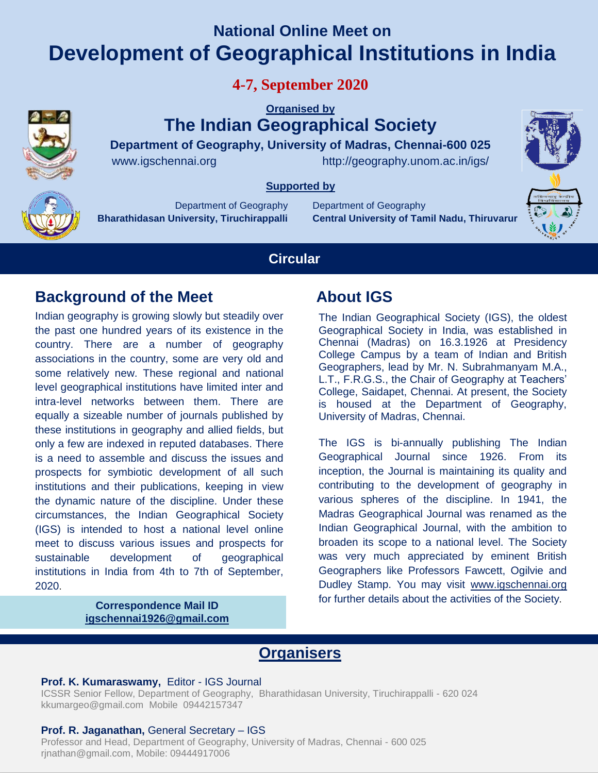# **National Online Meet on Development of Geographical Institutions in India**

**4-7, September 2020**

**Organised by** 

**The Indian Geographical Society**

**Department of Geography, University of Madras, Chennai-600 025** www.igschennai.orghttp://geography.unom.ac.in/igs/

**Supported by** 

Department of Geography **Bharathidasan University, Tiruchirappalli** Department of Geography **Central University of Tamil Nadu, Thiruvarur**



## **Circular**

## **Background of the Meet About IGS**

Indian geography is growing slowly but steadily over the past one hundred years of its existence in the country. There are a number of geography associations in the country, some are very old and some relatively new. These regional and national level geographical institutions have limited inter and intra-level networks between them. There are equally a sizeable number of journals published by these institutions in geography and allied fields, but only a few are indexed in reputed databases. There is a need to assemble and discuss the issues and prospects for symbiotic development of all such institutions and their publications, keeping in view the dynamic nature of the discipline. Under these circumstances, the Indian Geographical Society (IGS) is intended to host a national level online meet to discuss various issues and prospects for sustainable development of geographical institutions in India from 4th to 7th of September, 2020.

> **Correspondence Mail ID igschennai1926@gmail.com**

The Indian Geographical Society (IGS), the oldest Geographical Society in India, was established in Chennai (Madras) on 16.3.1926 at Presidency College Campus by a team of Indian and British Geographers, lead by Mr. N. Subrahmanyam M.A., L.T., F.R.G.S., the Chair of Geography at Teachers' College, Saidapet, Chennai. At present, the Society is housed at the Department of Geography, University of Madras, Chennai.

The IGS is bi-annually publishing The Indian Geographical Journal since 1926. From its inception, the Journal is maintaining its quality and contributing to the development of geography in various spheres of the discipline. In 1941, the Madras Geographical Journal was renamed as the Indian Geographical Journal, with the ambition to broaden its scope to a national level. The Society was very much appreciated by eminent British Geographers like Professors Fawcett, Ogilvie and Dudley Stamp. You may visit [www.igschennai.org](http://www.igschennai.org/) for further details about the activities of the Society.

## **Organisers**

#### **Prof. K. Kumaraswamy,** Editor - IGS Journal

ICSSR Senior Fellow, Department of Geography, Bharathidasan University, Tiruchirappalli - 620 024 kkumargeo@gmail.com Mobile 09442157347

#### **Prof. R. Jaganathan,** General Secretary – IGS

Professor and Head, Department of Geography, University of Madras, Chennai - 600 025 rjnathan@gmail.com, Mobile: 09444917006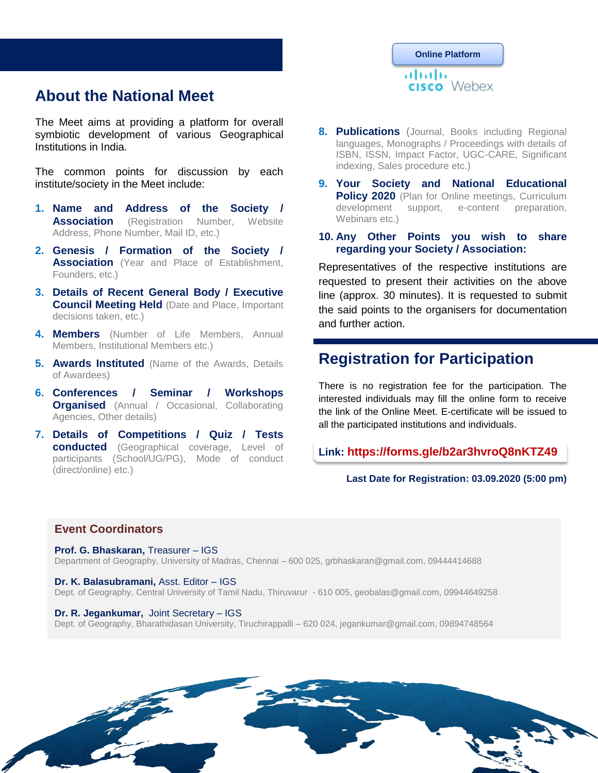## **About the National Meet**

The Meet aims at providing a platform for overall symbiotic development of various Geographical Institutions in India.

The common points for discussion by each institute/society in the Meet include:

- **1. Name and Address of the Society / Association** (Registration Number, Website Address, Phone Number, Mail ID, etc.)
- **2. Genesis / Formation of the Society / Association** (Year and Place of Establishment, Founders, etc.)
- **3. Details of Recent General Body / Executive Council Meeting Held** (Date and Place, Important decisions taken, etc.)
- **4. Members** (Number of Life Members, Annual Members, Institutional Members etc.)
- **5. Awards Instituted** (Name of the Awards, Details of Awardees)
- **6. Conferences / Seminar / Workshops Organised** (Annual / Occasional, Collaborating Agencies, Other details)
- **7. Details of Competitions / Quiz / Tests conducted** (Geographical coverage, Level of participants (School/UG/PG), Mode of conduct (direct/online) etc.)

## **Online Platform**ahaha cisco Webex

- **8. Publications** (Journal, Books including Regional languages, Monographs / Proceedings with details of ISBN, ISSN, Impact Factor, UGC-CARE, Significant indexing, Sales procedure etc.)
- **9. Your Society and National Educational Policy 2020** (Plan for Online meetings, Curriculum development support, e-content preparation, Webinars etc.)
- **10. Any Other Points you wish to share regarding your Society / Association:**

Representatives of the respective institutions are requested to present their activities on the above line (approx. 30 minutes). It is requested to submit the said points to the organisers for documentation and further action.

## **Registration for Participation**

There is no registration fee for the participation. The interested individuals may fill the online form to receive the link of the Online Meet. E-certificate will be issued to all the participated institutions and individuals.

#### **Link: https://forms.gle/b2ar3hvroQ8nKTZ49**

#### **Last Date for Registration: 03.09.2020 (5:00 pm)**

#### **Event Coordinators**

**Prof. G. Bhaskaran,** Treasurer – IGS Department of Geography, University of Madras, Chennai – 600 025, grbhaskaran@gmail.com, 09444414688

**Dr. K. Balasubramani,** Asst. Editor – IGS

Dept. of Geography, Central University of Tamil Nadu, Thiruvarur - 610 005, geobalas@gmail.com, 09944649258

#### **Dr. R. Jegankumar,** Joint Secretary – IGS

Dept. of Geography, Bharathidasan University, Tiruchirappalli – 620 024, jegankumar@gmail.com, 09894748564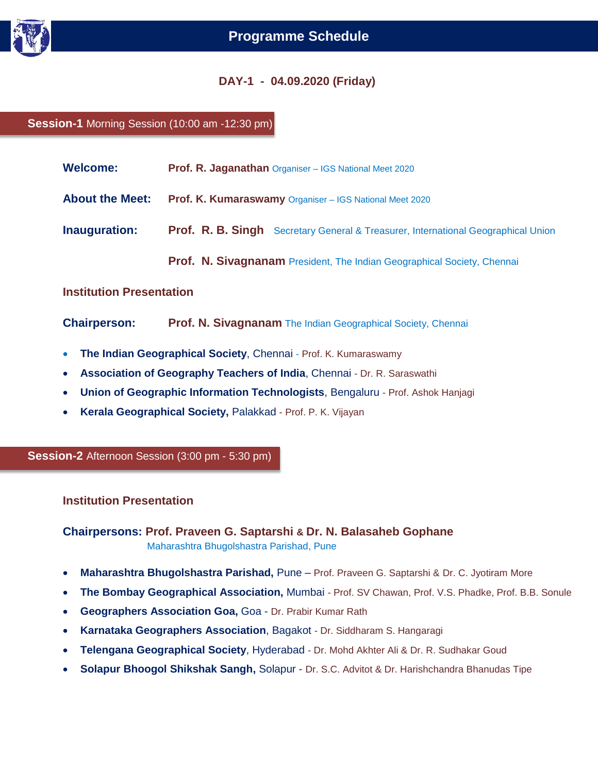

#### **DAY-1 - 04.09.2020 (Friday)**

**Session-1** Morning Session (10:00 am -12:30 pm)

| <b>Welcome:</b>                 | <b>Prof. R. Jaganathan</b> Organiser - IGS National Meet 2020                     |
|---------------------------------|-----------------------------------------------------------------------------------|
| <b>About the Meet:</b>          | Prof. K. Kumaraswamy Organiser - IGS National Meet 2020                           |
| Inauguration:                   | Prof. R. B. Singh Secretary General & Treasurer, International Geographical Union |
|                                 | Prof. N. Sivagnanam President, The Indian Geographical Society, Chennai           |
| <b>Institution Presentation</b> |                                                                                   |
| <b>Chairperson:</b>             | <b>Prof. N. Sivagnanam</b> The Indian Geographical Society, Chennai               |

- **The Indian Geographical Society**, Chennai Prof. K. Kumaraswamy
- **Association of Geography Teachers of India**, Chennai Dr. R. Saraswathi
- **Union of Geographic Information Technologists**, Bengaluru Prof. Ashok Hanjagi
- **Kerala Geographical Society,** Palakkad Prof. P. K. Vijayan

**Session-2** Afternoon Session (3:00 pm - 5:30 pm)

**Institution Presentation**

**Chairpersons: Prof. Praveen G. Saptarshi & Dr. N. Balasaheb Gophane**  Maharashtra Bhugolshastra Parishad, Pune

- **Maharashtra Bhugolshastra Parishad,** Pune Prof. Praveen G. Saptarshi & Dr. C. Jyotiram More
- **The Bombay Geographical Association,** Mumbai Prof. SV Chawan, Prof. V.S. Phadke, Prof. B.B. Sonule
- **Geographers Association Goa,** Goa Dr. Prabir Kumar Rath
- **Karnataka Geographers Association**, Bagakot Dr. Siddharam S. Hangaragi
- **Telengana Geographical Society**, Hyderabad Dr. Mohd Akhter Ali & Dr. R. Sudhakar Goud
- **Solapur Bhoogol Shikshak Sangh,** Solapur Dr. S.C. Advitot & Dr. Harishchandra Bhanudas Tipe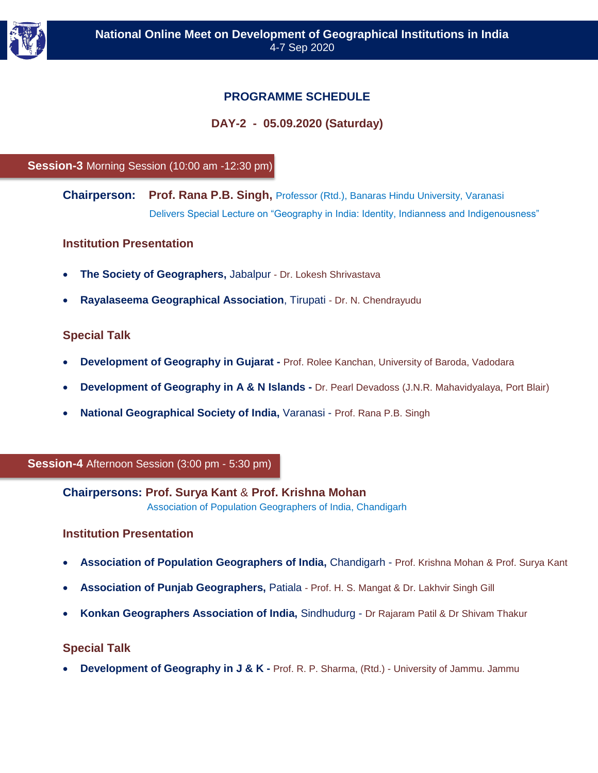

### **PROGRAMME SCHEDULE**

#### **DAY-2 - 05.09.2020 (Saturday)**

#### **Session-3** Morning Session (10:00 am -12:30 pm)

**Chairperson: Prof. Rana P.B. Singh,** Professor (Rtd.), Banaras Hindu University, Varanasi Delivers Special Lecture on "Geography in India: Identity, Indianness and Indigenousness"

#### **Institution Presentation**

- **The Society of Geographers,** Jabalpur Dr. Lokesh Shrivastava
- **Rayalaseema Geographical Association**, Tirupati Dr. N. Chendrayudu

#### **Special Talk**

- **Development of Geography in Gujarat -** Prof. Rolee Kanchan, University of Baroda, Vadodara
- **Development of Geography in A & N Islands -** Dr. Pearl Devadoss (J.N.R. Mahavidyalaya, Port Blair)
- **National Geographical Society of India,** Varanasi Prof. Rana P.B. Singh

#### **Session-4** Afternoon Session (3:00 pm - 5:30 pm)

#### **Chairpersons: Prof. Surya Kant** & **Prof. Krishna Mohan**

Association of Population Geographers of India, Chandigarh

#### **Institution Presentation**

- **Association of Population Geographers of India,** Chandigarh Prof. Krishna Mohan & Prof. Surya Kant
- **Association of Punjab Geographers,** Patiala Prof. H. S. Mangat & Dr. Lakhvir Singh Gill
- **Konkan Geographers Association of India,** Sindhudurg Dr Rajaram Patil & Dr Shivam Thakur

#### **Special Talk**

**Development of Geography in J & K -** Prof. R. P. Sharma, (Rtd.) - University of Jammu. Jammu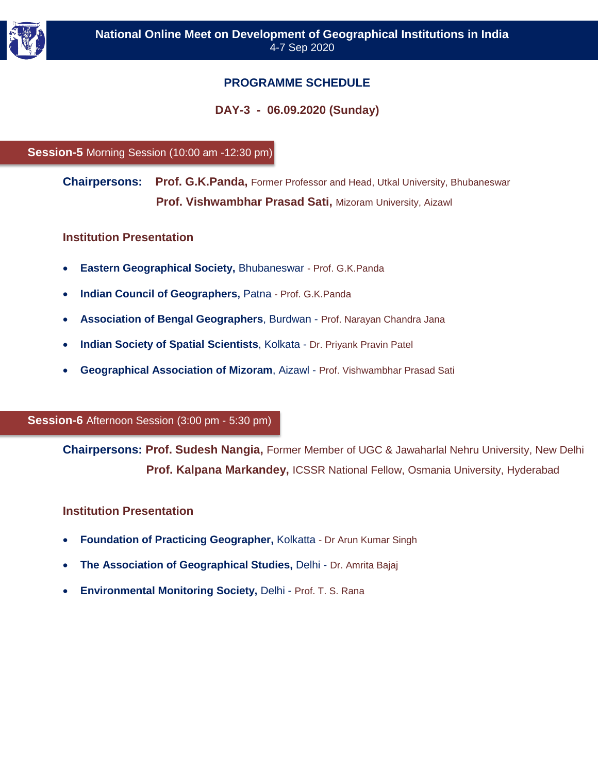

### **PROGRAMME SCHEDULE**

#### **DAY-3 - 06.09.2020 (Sunday)**

#### **Session-5** Morning Session (10:00 am -12:30 pm)

**Chairpersons: Prof. G.K.Panda,** Former Professor and Head, Utkal University, Bhubaneswar  **Prof. Vishwambhar Prasad Sati,** Mizoram University, Aizawl

#### **Institution Presentation**

- **Eastern Geographical Society,** Bhubaneswar Prof. G.K.Panda
- **Indian Council of Geographers,** Patna Prof. G.K.Panda
- **Association of Bengal Geographers**, Burdwan Prof. Narayan Chandra Jana
- **Indian Society of Spatial Scientists**, Kolkata Dr. Priyank Pravin Patel
- **Geographical Association of Mizoram**, Aizawl Prof. Vishwambhar Prasad Sati

#### **Session-6** Afternoon Session (3:00 pm - 5:30 pm)

**Chairpersons: Prof. Sudesh Nangia,** Former Member of UGC & Jawaharlal Nehru University, New Delhi  **Prof. Kalpana Markandey,** ICSSR National Fellow, Osmania University, Hyderabad

#### **Institution Presentation**

- **Foundation of Practicing Geographer,** Kolkatta Dr Arun Kumar Singh
- **The Association of Geographical Studies,** Delhi Dr. Amrita Bajaj
- **Environmental Monitoring Society,** Delhi Prof. T. S. Rana